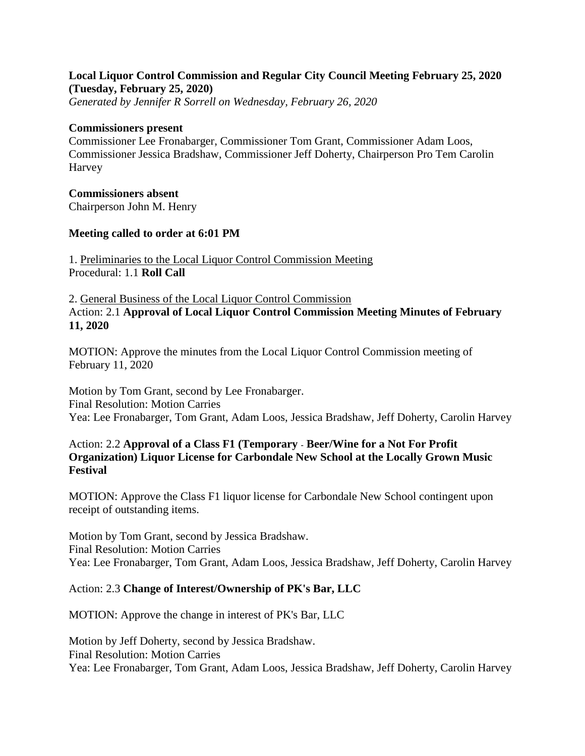# **Local Liquor Control Commission and Regular City Council Meeting February 25, 2020 (Tuesday, February 25, 2020)**

*Generated by Jennifer R Sorrell on Wednesday, February 26, 2020*

#### **Commissioners present**

Commissioner Lee Fronabarger, Commissioner Tom Grant, Commissioner Adam Loos, Commissioner Jessica Bradshaw, Commissioner Jeff Doherty, Chairperson Pro Tem Carolin Harvey

### **Commissioners absent**

Chairperson John M. Henry

### **Meeting called to order at 6:01 PM**

1. Preliminaries to the Local Liquor Control Commission Meeting Procedural: 1.1 **Roll Call**

2. General Business of the Local Liquor Control Commission Action: 2.1 **Approval of Local Liquor Control Commission Meeting Minutes of February 11, 2020**

MOTION: Approve the minutes from the Local Liquor Control Commission meeting of February 11, 2020

Motion by Tom Grant, second by Lee Fronabarger. Final Resolution: Motion Carries Yea: Lee Fronabarger, Tom Grant, Adam Loos, Jessica Bradshaw, Jeff Doherty, Carolin Harvey

## Action: 2.2 **Approval of a Class F1 (Temporary - Beer/Wine for a Not For Profit Organization) Liquor License for Carbondale New School at the Locally Grown Music Festival**

MOTION: Approve the Class F1 liquor license for Carbondale New School contingent upon receipt of outstanding items.

Motion by Tom Grant, second by Jessica Bradshaw. Final Resolution: Motion Carries Yea: Lee Fronabarger, Tom Grant, Adam Loos, Jessica Bradshaw, Jeff Doherty, Carolin Harvey

### Action: 2.3 **Change of Interest/Ownership of PK's Bar, LLC**

MOTION: Approve the change in interest of PK's Bar, LLC

Motion by Jeff Doherty, second by Jessica Bradshaw. Final Resolution: Motion Carries Yea: Lee Fronabarger, Tom Grant, Adam Loos, Jessica Bradshaw, Jeff Doherty, Carolin Harvey